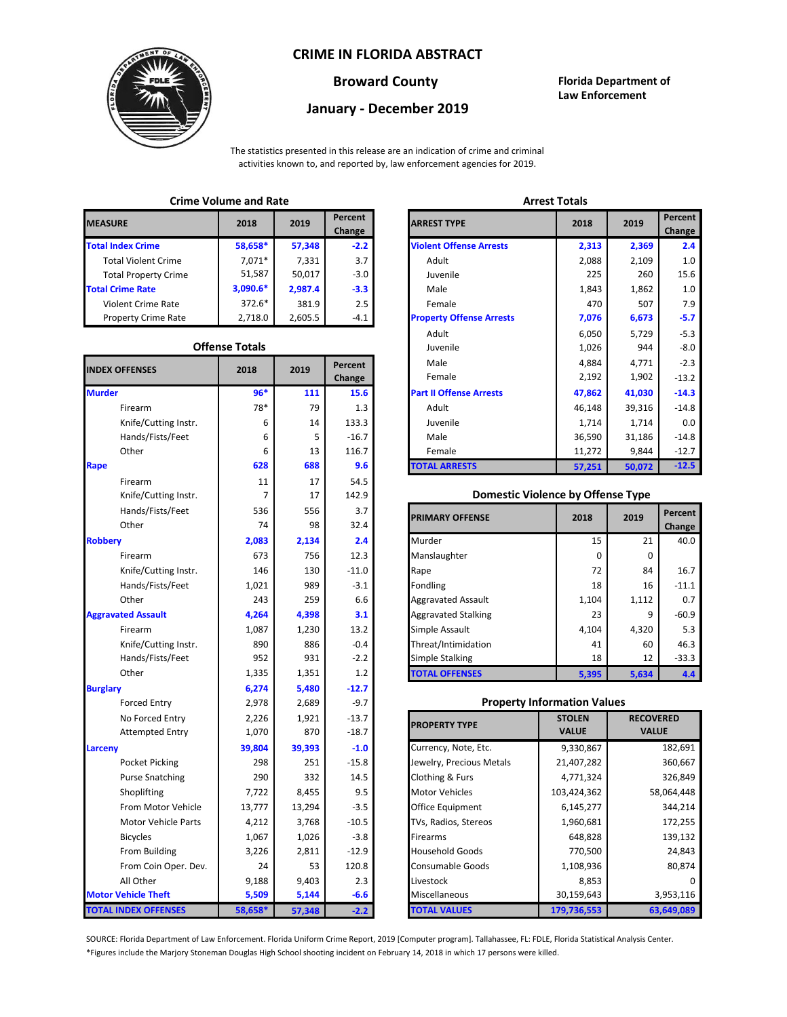## **CRIME IN FLORIDA ABSTRACT**



# **January - December 2019**

**Broward County Florida Department of Law Enforcement**

The statistics presented in this release are an indication of crime and criminal activities known to, and reported by, law enforcement agencies for 2019.

#### **Crime Volume and Rate Arrest Totals**

| <b>MEASURE</b>              | 2018       | 2019    | Percent<br>Change | <b>ARREST TYPE</b>             |
|-----------------------------|------------|---------|-------------------|--------------------------------|
| <b>Total Index Crime</b>    | 58,658*    | 57,348  | $-2.2$            | <b>Violent Offense Arrests</b> |
| <b>Total Violent Crime</b>  | $7.071*$   | 7,331   | 3.7               | Adult                          |
| <b>Total Property Crime</b> | 51,587     | 50,017  | $-3.0$            | Juvenile                       |
| <b>Total Crime Rate</b>     | $3,090.6*$ | 2,987.4 | $-3.3$            | Male                           |
| <b>Violent Crime Rate</b>   | $372.6*$   | 381.9   | 2.5               | Female                         |
| <b>Property Crime Rate</b>  | 2,718.0    | 2,605.5 | $-4.1$            | <b>Property Offense Arrest</b> |

## **Offense Totals**

| <b>INDEX OFFENSES</b>       | 2018           | 2019   | Percent<br>Change | Male<br>Female                           | 4,884<br>2,192 | 4,771<br>1,902   | $-2.3$<br>$-13.2$ |
|-----------------------------|----------------|--------|-------------------|------------------------------------------|----------------|------------------|-------------------|
| <b>Murder</b>               | $96*$          | 111    | 15.6              | <b>Part II Offense Arrests</b>           | 47,862         | 41,030           | $-14.3$           |
| Firearm                     | 78*            | 79     | 1.3               | Adult                                    | 46,148         | 39,316           | $-14.8$           |
| Knife/Cutting Instr.        | 6              | 14     | 133.3             | Juvenile                                 | 1,714          | 1,714            | 0.0               |
| Hands/Fists/Feet            | 6              | 5      | $-16.7$           | Male                                     | 36,590         | 31,186           | $-14.8$           |
| Other                       | 6              | 13     | 116.7             | Female                                   | 11,272         | 9,844            | $-12.7$           |
| <b>Rape</b>                 | 628            | 688    | 9.6               | <b>TOTAL ARRESTS</b>                     | 57,251         | 50,072           | $-12.5$           |
| Firearm                     | $11\,$         | 17     | 54.5              |                                          |                |                  |                   |
| Knife/Cutting Instr.        | $\overline{7}$ | 17     | 142.9             | <b>Domestic Violence by Offense Type</b> |                |                  |                   |
| Hands/Fists/Feet            | 536            | 556    | 3.7               | <b>PRIMARY OFFENSE</b>                   | 2018           | 2019             | Percent           |
| Other                       | 74             | 98     | 32.4              |                                          |                |                  | Change            |
| <b>Robbery</b>              | 2,083          | 2,134  | 2.4               | Murder                                   | 15             | 21               | 40.0              |
| Firearm                     | 673            | 756    | 12.3              | Manslaughter                             | 0              | 0                |                   |
| Knife/Cutting Instr.        | 146            | 130    | $-11.0$           | Rape                                     | 72             | 84               | 16.7              |
| Hands/Fists/Feet            | 1,021          | 989    | $-3.1$            | Fondling                                 | 18             | 16               | $-11.1$           |
| Other                       | 243            | 259    | 6.6               | <b>Aggravated Assault</b>                | 1,104          | 1,112            | 0.7               |
| <b>Aggravated Assault</b>   | 4,264          | 4,398  | 3.1               | <b>Aggravated Stalking</b>               | 23             | 9                | $-60.9$           |
| Firearm                     | 1,087          | 1,230  | 13.2              | Simple Assault                           | 4,104          | 4,320            | 5.3               |
| Knife/Cutting Instr.        | 890            | 886    | $-0.4$            | Threat/Intimidation                      | 41             | 60               | 46.3              |
| Hands/Fists/Feet            | 952            | 931    | $-2.2$            | <b>Simple Stalking</b>                   | 18             | 12               | $-33.3$           |
| Other                       | 1,335          | 1,351  | 1.2               | <b>TOTAL OFFENSES</b>                    | 5,395          | 5,634            | 4.4               |
| <b>Burglary</b>             | 6,274          | 5,480  | $-12.7$           |                                          |                |                  |                   |
| <b>Forced Entry</b>         | 2,978          | 2,689  | $-9.7$            | <b>Property Information Values</b>       |                |                  |                   |
| No Forced Entry             | 2,226          | 1,921  | $-13.7$           | <b>PROPERTY TYPE</b>                     | <b>STOLEN</b>  | <b>RECOVERED</b> |                   |
| <b>Attempted Entry</b>      | 1,070          | 870    | $-18.7$           |                                          | <b>VALUE</b>   | <b>VALUE</b>     |                   |
| <b>Larceny</b>              | 39,804         | 39,393 | $-1.0$            | Currency, Note, Etc.                     | 9,330,867      |                  | 182,691           |
| Pocket Picking              | 298            | 251    | $-15.8$           | Jewelry, Precious Metals                 | 21,407,282     |                  | 360,667           |
| <b>Purse Snatching</b>      | 290            | 332    | 14.5              | Clothing & Furs                          | 4,771,324      |                  | 326,849           |
| Shoplifting                 | 7,722          | 8,455  | 9.5               | <b>Motor Vehicles</b>                    | 103,424,362    |                  | 58,064,448        |
| From Motor Vehicle          | 13,777         | 13,294 | $-3.5$            | Office Equipment                         | 6,145,277      |                  | 344,214           |
| <b>Motor Vehicle Parts</b>  | 4,212          | 3,768  | $-10.5$           | TVs, Radios, Stereos                     | 1,960,681      |                  | 172,255           |
| <b>Bicycles</b>             | 1,067          | 1,026  | $-3.8$            | <b>Firearms</b>                          | 648,828        |                  | 139,132           |
| From Building               | 3,226          | 2,811  | $-12.9$           | <b>Household Goods</b>                   | 770,500        |                  | 24,843            |
| From Coin Oper. Dev.        | 24             | 53     | 120.8             | Consumable Goods                         | 1,108,936      |                  | 80,874            |
| All Other                   | 9,188          | 9,403  | 2.3               | Livestock                                | 8,853          |                  |                   |
| <b>Motor Vehicle Theft</b>  | 5,509          | 5,144  | $-6.6$            | Miscellaneous                            | 30,159,643     |                  | 3,953,116         |
| <b>TOTAL INDEX OFFENSES</b> | 58,658*        | 57,348 | $-2.2$            | <b>TOTAL VALUES</b>                      | 179,736,553    |                  | 63,649,089        |

| CHILLE VULUILE ANU RALE |                       |         |                                 | AUCSL IVLAIS                    |        |        |                   |
|-------------------------|-----------------------|---------|---------------------------------|---------------------------------|--------|--------|-------------------|
| RΕ                      | 2018                  | 2019    | <b>Percent</b><br><b>Change</b> | <b>ARREST TYPE</b>              | 2018   | 2019   | Percent<br>Change |
| dex Crime               | 58,658*               | 57,348  | $-2.2$                          | <b>Violent Offense Arrests</b>  | 2,313  | 2,369  | 2.4               |
| Il Violent Crime        | $7,071*$              | 7,331   | 3.7                             | Adult                           | 2,088  | 2,109  | 1.0               |
| Il Property Crime       | 51,587                | 50,017  | $-3.0$                          | Juvenile                        | 225    | 260    | 15.6              |
| ime Rate                | $3,090.6*$            | 2,987.4 | $-3.3$                          | Male                            | 1,843  | 1,862  | 1.0               |
| ent Crime Rate          | 372.6*                | 381.9   | 2.5                             | Female                          | 470    | 507    | 7.9               |
| berty Crime Rate        | 2,718.0               | 2,605.5 | $-4.1$                          | <b>Property Offense Arrests</b> | 7,076  | 6,673  | $-5.7$            |
|                         |                       |         |                                 | Adult                           | 6,050  | 5,729  | $-5.3$            |
|                         | <b>Offense Totals</b> |         |                                 | Juvenile                        | 1,026  | 944    | $-8.0$            |
| <b>FFENSES</b>          | 2018                  | 2019    | Percent                         | Male                            | 4,884  | 4,771  | $-2.3$            |
|                         |                       |         | Change                          | Female                          | 2,192  | 1,902  | $-13.2$           |
|                         | $96*$                 | 111     | 15.6                            | <b>Part II Offense Arrests</b>  | 47,862 | 41,030 | $-14.3$           |
| Firearm                 | 78*                   | 79      | 1.3                             | Adult                           | 46,148 | 39,316 | $-14.8$           |
| Knife/Cutting Instr.    | 6                     | 14      | 133.3                           | Juvenile                        | 1,714  | 1,714  | 0.0               |
| Hands/Fists/Feet        | 6                     | 5       | $-16.7$                         | Male                            | 36,590 | 31,186 | $-14.8$           |
| Other                   | 6                     | 13      | 116.7                           | Female                          | 11,272 | 9,844  | $-12.7$           |
|                         | 628                   | 688     | 9.6                             | <b>TOTAL ARRESTS</b>            | 57,251 | 50,072 | $-12.5$           |
|                         |                       |         |                                 |                                 |        |        |                   |

#### **Domestic Violence by Offense Type**

| Hands/Fists/Feet<br>Other | 536<br>74 | 556<br>98 | 3.7<br>32.4 | <b>PRIMARY OFFENSE</b>     | 2018  | 2019  | Percent<br>Change |
|---------------------------|-----------|-----------|-------------|----------------------------|-------|-------|-------------------|
|                           | 2,083     | 2,134     | 2.4         | Murder                     | 15    | 21    | 40.0              |
| Firearm                   | 673       | 756       | 12.3        | Manslaughter               | 0     | 0     |                   |
| Knife/Cutting Instr.      | 146       | 130       | $-11.0$     | Rape                       | 72    | 84    | 16.7              |
| Hands/Fists/Feet          | 1,021     | 989       | $-3.1$      | Fondling                   | 18    | 16    | $-11.1$           |
| Other                     | 243       | 259       | 6.6         | <b>Aggravated Assault</b>  | 1,104 | 1,112 | 0.7               |
| ted Assault               | 4,264     | 4,398     | 3.1         | <b>Aggravated Stalking</b> | 23    | 9     | $-60.9$           |
| Firearm                   | 1,087     | 1,230     | 13.2        | Simple Assault             | 4,104 | 4,320 | 5.3               |
| Knife/Cutting Instr.      | 890       | 886       | $-0.4$      | Threat/Intimidation        | 41    | 60    | 46.3              |
| Hands/Fists/Feet          | 952       | 931       | $-2.2$      | <b>Simple Stalking</b>     | 18    | 12    | $-33.3$           |
| Other                     | 1,335     | 1,351     | 1.2         | <b>TOTAL OFFENSES</b>      | 5,395 | 5,634 | 4.4               |

#### **Property Information Values**

| 2,226<br>1,070 | 1,921<br>870 | $-13.7$<br>$-18.7$ | <b>PROPERTY TYPE</b>     | <b>STOLEN</b><br><b>VALUE</b> | <b>RECOVERED</b><br><b>VALUE</b> |
|----------------|--------------|--------------------|--------------------------|-------------------------------|----------------------------------|
| 39,804         | 39,393       | $-1.0$             | Currency, Note, Etc.     | 9,330,867                     | 182,691                          |
| 298            | 251          | $-15.8$            | Jewelry, Precious Metals | 21,407,282                    | 360,667                          |
| 290            | 332          | 14.5               | Clothing & Furs          | 4,771,324                     | 326,849                          |
| 7,722          | 8,455        | 9.5                | <b>Motor Vehicles</b>    | 103,424,362                   | 58,064,448                       |
| 13,777         | 13,294       | $-3.5$             | <b>Office Equipment</b>  | 6,145,277                     | 344,214                          |
| 4,212          | 3,768        | $-10.5$            | TVs, Radios, Stereos     | 1,960,681                     | 172,255                          |
| 1,067          | 1,026        | $-3.8$             | <b>Firearms</b>          | 648,828                       | 139,132                          |
| 3,226          | 2,811        | $-12.9$            | <b>Household Goods</b>   | 770,500                       | 24,843                           |
| 24             | 53           | 120.8              | Consumable Goods         | 1,108,936                     | 80,874                           |
| 9,188          | 9,403        | 2.3                | Livestock                | 8,853                         |                                  |
| 5,509          | 5,144        | $-6.6$             | <b>Miscellaneous</b>     | 30,159,643                    | 3,953,116                        |
| 8,658*         | 57,348       | $-2.2$             | <b>FOTAL VALUES</b>      | 179,736,553                   | 63,649,089                       |

\*Figures include the Marjory Stoneman Douglas High School shooting incident on February 14, 2018 in which 17 persons were killed. SOURCE: Florida Department of Law Enforcement. Florida Uniform Crime Report, 2019 [Computer program]. Tallahassee, FL: FDLE, Florida Statistical Analysis Center.